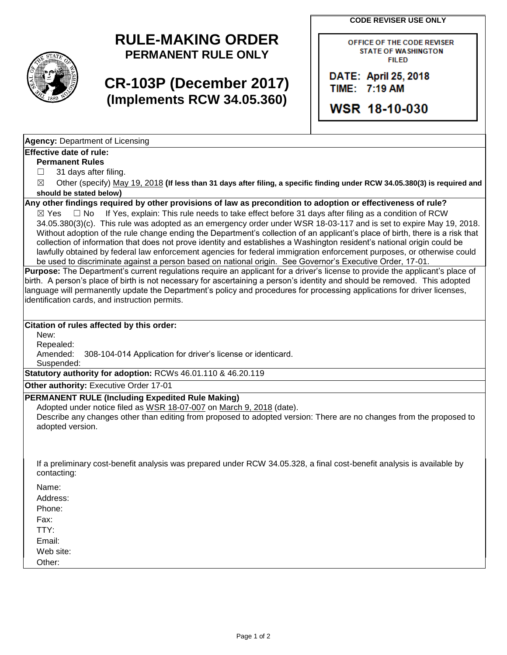**CODE REVISER USE ONLY**

# **RULE-MAKING ORDER PERMANENT RULE ONLY**

# **CR-103P (December 2017) (Implements RCW 34.05.360)**

OFFICE OF THE CODE REVISER **STATE OF WASHINGTON FILED** 

DATE: April 25, 2018 TIME: 7:19 AM

**WSR 18-10-030** 

**Agency:** Department of Licensing

### **Effective date of rule:**

**Permanent Rules**

 $\Box$  31 days after filing.

☒ Other (specify) May 19, 2018 **(If less than 31 days after filing, a specific finding under RCW 34.05.380(3) is required and should be stated below)**

### **Any other findings required by other provisions of law as precondition to adoption or effectiveness of rule?**

 $\boxtimes$  Yes  $\Box$  No If Yes, explain: This rule needs to take effect before 31 days after filing as a condition of RCW 34.05.380(3)(c). This rule was adopted as an emergency order under WSR 18-03-117 and is set to expire May 19, 2018. Without adoption of the rule change ending the Department's collection of an applicant's place of birth, there is a risk that collection of information that does not prove identity and establishes a Washington resident's national origin could be lawfully obtained by federal law enforcement agencies for federal immigration enforcement purposes, or otherwise could be used to discriminate against a person based on national origin. See Governor's Executive Order, 17-01.

**Purpose:** The Department's current regulations require an applicant for a driver's license to provide the applicant's place of birth. A person's place of birth is not necessary for ascertaining a person's identity and should be removed. This adopted language will permanently update the Department's policy and procedures for processing applications for driver licenses, identification cards, and instruction permits.

#### **Citation of rules affected by this order:**

New:

Repealed:

Amended: 308-104-014 Application for driver's license or identicard.

Suspended:

**Statutory authority for adoption:** RCWs 46.01.110 & 46.20.119

**Other authority:** Executive Order 17-01

#### **PERMANENT RULE (Including Expedited Rule Making)**

Adopted under notice filed as WSR 18-07-007 on March 9, 2018 (date).

Describe any changes other than editing from proposed to adopted version: There are no changes from the proposed to adopted version.

If a preliminary cost-benefit analysis was prepared under RCW 34.05.328, a final cost-benefit analysis is available by contacting:

| Name:     |  |  |  |
|-----------|--|--|--|
| Address:  |  |  |  |
| Phone:    |  |  |  |
| Fax:      |  |  |  |
| TTY:      |  |  |  |
| Email:    |  |  |  |
| Web site: |  |  |  |
| Other:    |  |  |  |